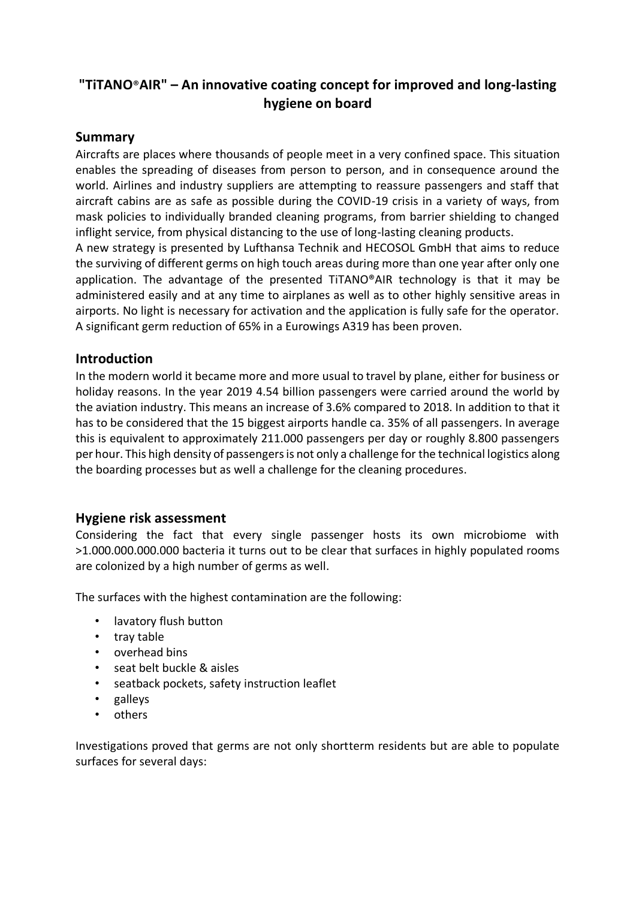# **"TiTANO**®**AIR" – An innovative coating concept for improved and long-lasting hygiene on board**

#### **Summary**

Aircrafts are places where thousands of people meet in a very confined space. This situation enables the spreading of diseases from person to person, and in consequence around the world. Airlines and industry suppliers are attempting to reassure passengers and staff that aircraft cabins are as safe as possible during the COVID-19 crisis in a variety of ways, from mask policies to individually branded cleaning programs, from barrier shielding to changed inflight service, from physical distancing to the use of long-lasting cleaning products.

A new strategy is presented by Lufthansa Technik and HECOSOL GmbH that aims to reduce the surviving of different germs on high touch areas during more than one year after only one application. The advantage of the presented TiTANO®AIR technology is that it may be administered easily and at any time to airplanes as well as to other highly sensitive areas in airports. No light is necessary for activation and the application is fully safe for the operator. A significant germ reduction of 65% in a Eurowings A319 has been proven.

### **Introduction**

In the modern world it became more and more usual to travel by plane, either for business or holiday reasons. In the year 2019 4.54 billion passengers were carried around the world by the aviation industry. This means an increase of 3.6% compared to 2018. In addition to that it has to be considered that the 15 biggest airports handle ca. 35% of all passengers. In average this is equivalent to approximately 211.000 passengers per day or roughly 8.800 passengers per hour. This high density of passengers is not only a challenge for the technical logistics along the boarding processes but as well a challenge for the cleaning procedures.

## **Hygiene risk assessment**

Considering the fact that every single passenger hosts its own microbiome with >1.000.000.000.000 bacteria it turns out to be clear that surfaces in highly populated rooms are colonized by a high number of germs as well.

The surfaces with the highest contamination are the following:

- lavatory flush button
- tray table
- overhead bins
- seat belt buckle & aisles
- seatback pockets, safety instruction leaflet
- galleys
- others

Investigations proved that germs are not only shortterm residents but are able to populate surfaces for several days: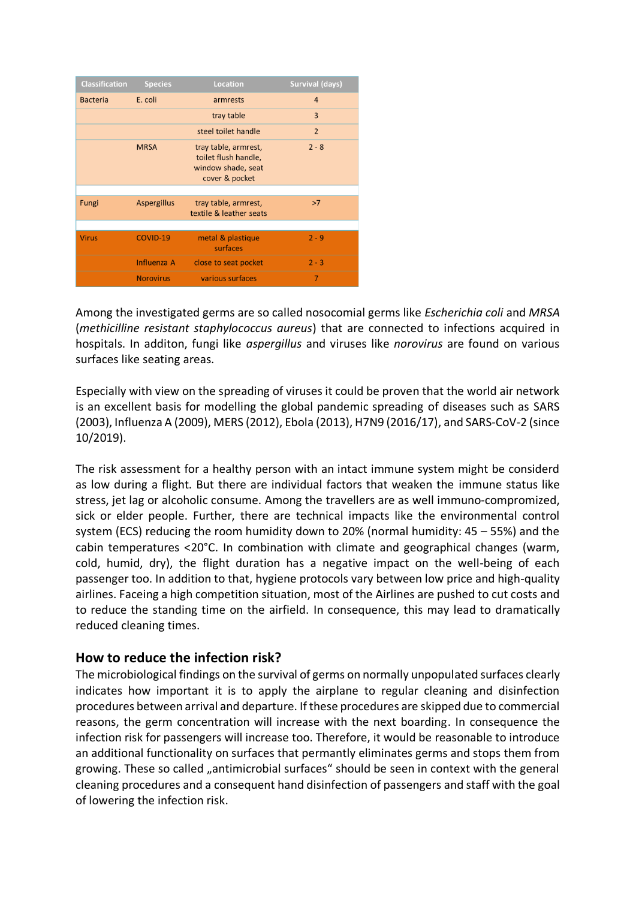| <b>Classification</b> | <b>Species</b>     | Location                                                                             | <b>Survival (days)</b> |
|-----------------------|--------------------|--------------------------------------------------------------------------------------|------------------------|
| <b>Bacteria</b>       | E. coli            | armrests                                                                             | 4                      |
|                       |                    | tray table                                                                           | $\overline{3}$         |
|                       |                    | steel toilet handle                                                                  | $\overline{2}$         |
|                       | <b>MRSA</b>        | tray table, armrest,<br>toilet flush handle,<br>window shade, seat<br>cover & pocket | $2 - 8$                |
|                       |                    |                                                                                      |                        |
| Fungi                 | <b>Aspergillus</b> | tray table, armrest,<br>textile & leather seats                                      | >7                     |
|                       |                    |                                                                                      |                        |
| <b>Virus</b>          | COVID-19           | metal & plastique<br>surfaces                                                        | $2 - 9$                |
|                       | Influenza A        | close to seat pocket                                                                 | $2 - 3$                |
|                       | <b>Norovirus</b>   | various surfaces                                                                     | 7                      |

Among the investigated germs are so called nosocomial germs like *Escherichia coli* and *MRSA* (*methicilline resistant staphylococcus aureus*) that are connected to infections acquired in hospitals. In additon, fungi like *aspergillus* and viruses like *norovirus* are found on various surfaces like seating areas.

Especially with view on the spreading of viruses it could be proven that the world air network is an excellent basis for modelling the global pandemic spreading of diseases such as SARS (2003), Influenza A (2009), MERS (2012), Ebola (2013), H7N9 (2016/17), and SARS-CoV-2 (since 10/2019).

The risk assessment for a healthy person with an intact immune system might be considerd as low during a flight. But there are individual factors that weaken the immune status like stress, jet lag or alcoholic consume. Among the travellers are as well immuno-compromized, sick or elder people. Further, there are technical impacts like the environmental control system (ECS) reducing the room humidity down to 20% (normal humidity: 45 – 55%) and the cabin temperatures <20°C. In combination with climate and geographical changes (warm, cold, humid, dry), the flight duration has a negative impact on the well-being of each passenger too. In addition to that, hygiene protocols vary between low price and high-quality airlines. Faceing a high competition situation, most of the Airlines are pushed to cut costs and to reduce the standing time on the airfield. In consequence, this may lead to dramatically reduced cleaning times.

## **How to reduce the infection risk?**

The microbiological findings on the survival of germs on normally unpopulated surfaces clearly indicates how important it is to apply the airplane to regular cleaning and disinfection procedures between arrival and departure. If these procedures are skipped due to commercial reasons, the germ concentration will increase with the next boarding. In consequence the infection risk for passengers will increase too. Therefore, it would be reasonable to introduce an additional functionality on surfaces that permantly eliminates germs and stops them from growing. These so called "antimicrobial surfaces" should be seen in context with the general cleaning procedures and a consequent hand disinfection of passengers and staff with the goal of lowering the infection risk.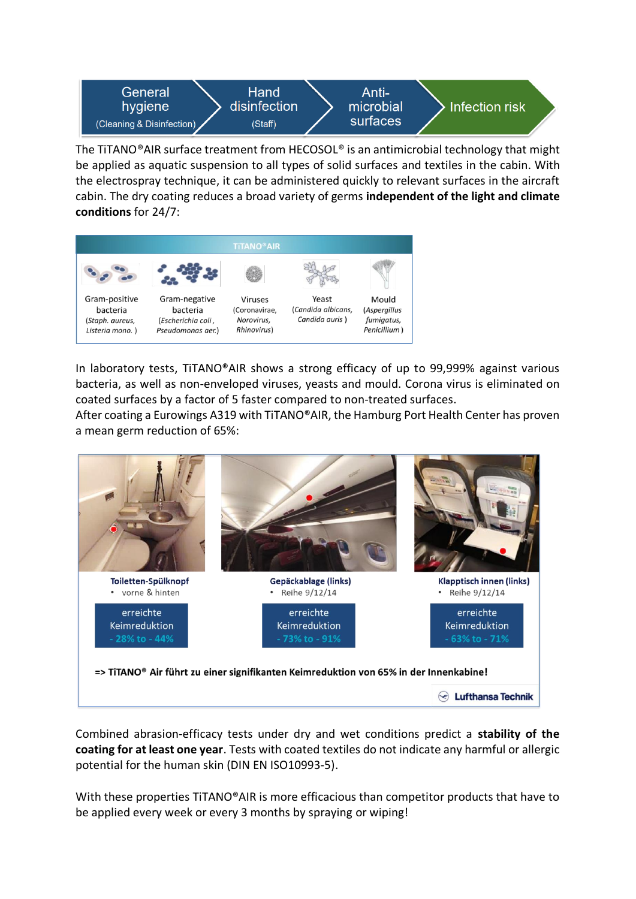

The TiTANO®AIR surface treatment from HECOSOL® is an antimicrobial technology that might be applied as aquatic suspension to all types of solid surfaces and textiles in the cabin. With the electrospray technique, it can be administered quickly to relevant surfaces in the aircraft cabin. The dry coating reduces a broad variety of germs **independent of the light and climate conditions** for 24/7:



In laboratory tests, TiTANO®AIR shows a strong efficacy of up to 99,999% against various bacteria, as well as non-enveloped viruses, yeasts and mould. Corona virus is eliminated on coated surfaces by a factor of 5 faster compared to non-treated surfaces.

After coating a Eurowings A319 with TiTANO®AIR, the Hamburg Port Health Center has proven a mean germ reduction of 65%:



Combined abrasion-efficacy tests under dry and wet conditions predict a **stability of the coating for at least one year**. Tests with coated textiles do not indicate any harmful or allergic potential for the human skin (DIN EN ISO10993-5).

With these properties TiTANO®AIR is more efficacious than competitor products that have to be applied every week or every 3 months by spraying or wiping!